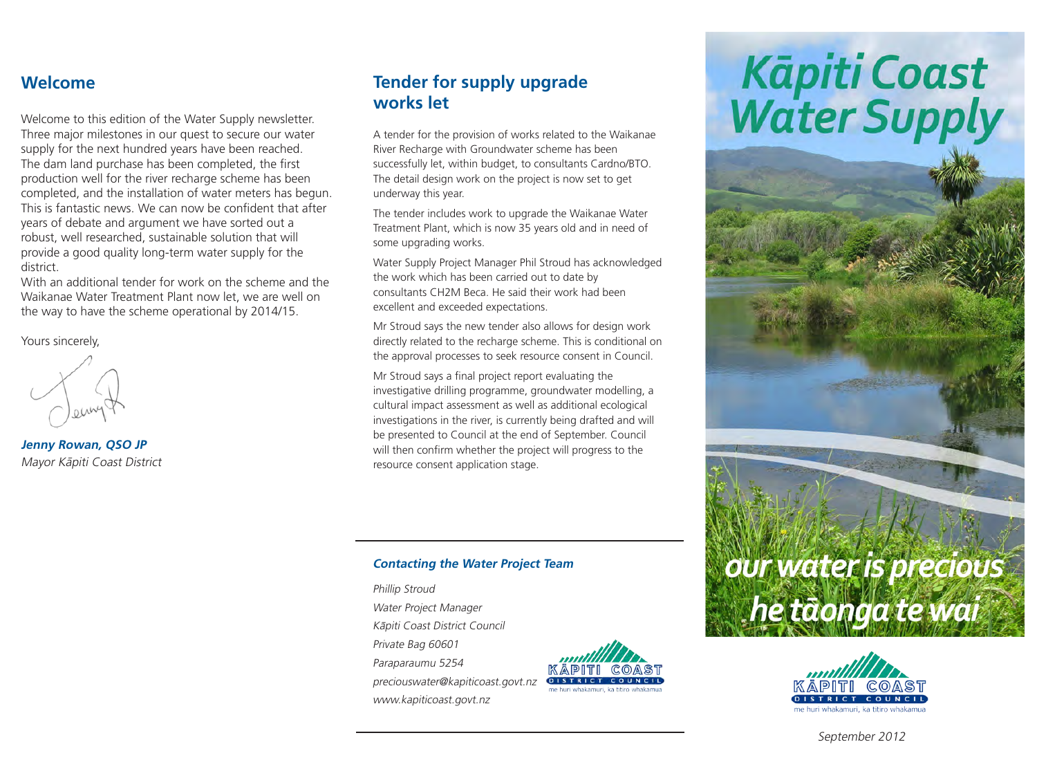## **Welcome**

Welcome to this edition of the Water Supply newsletter. Three major milestones in our quest to secure our water supply for the next hundred years have been reached. The dam land purchase has been completed, the first production well for the river recharge scheme has been completed, and the installation of water meters has begun. This is fantastic news. We can now be confident that after years of debate and argument we have sorted out a robust, well researched, sustainable solution that will provide a good quality long-term water supply for the district.

With an additional tender for work on the scheme and the Waikanae Water Treatment Plant now let, we are well on the way to have the scheme operational by 2014/15.

Yours sincerely,

**Jenny Rowan, QSO JP** Mayor Kāpiti Coast District

## **Tender for supply upgrade works let**

A tender for the provision of works related to the Waikanae River Recharge with Groundwater scheme has been successfully let, within budget, to consultants Cardno/BTO. The detail design work on the project is now set to get underway this year.

The tender includes work to upgrade the Waikanae Water Treatment Plant, which is now 35 years old and in need of some upgrading works.

Water Supply Project Manager Phil Stroud has acknowledged the work which has been carried out to date by consultants CH2M Beca. He said their work had been excellent and exceeded expectations.

Mr Stroud says the new tender also allows for design work directly related to the recharge scheme. This is conditional on the approval processes to seek resource consent in Council.

Mr Stroud says a final project report evaluating the investigative drilling programme, groundwater modelling, a cultural impact assessment as well as additional ecological investigations in the river, is currently being drafted and will be presented to Council at the end of September. Council will then confirm whether the project will progress to the resource consent application stage.

### **Contacting the Water Project Team**

Phillip Stroud Water Project Manager Kāpiti Coast District Council Private Bag 60601 Paraparaumu 5254 preciouswater@kapiticoast.govt.nz www.kapiticoast.govt.nz



# Kāpiti Coast<br>Water Supply





September 2012